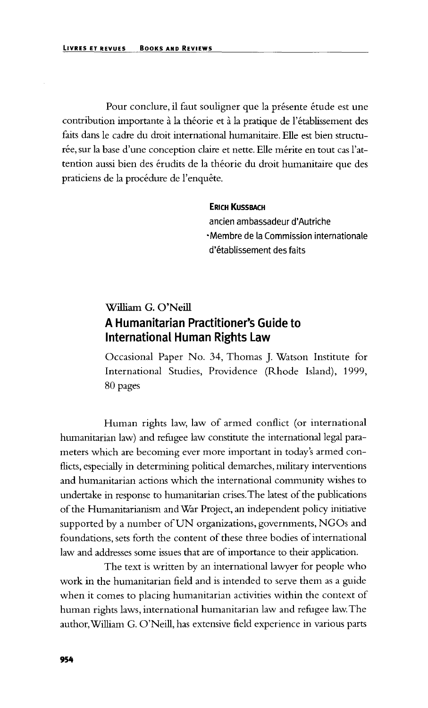Pour conclure, il faut souligner que la présente étude est une contribution importante à la théorie et à la pratique de l'établissement des faits dans le cadre du droit international humanitaire. Elle est bien structurée, sur la base d'une conception claire et nette. Elle mérite en tout cas l'attention aussi bien des érudits de la théorie du droit humanitaire que des praticiens de la procédure de l'enquête.

## ERICH KUSSBACH

ancien ambassadeur d'Autriche •Membre de la Commission intemationale d'etablissement des faits

## **William G. O'Neill** A Humanitarian Practitioner's Guide to International Human Rights Law

Occasional Paper No. 34, Thomas J. Watson Institute for International Studies, Providence (Rhode Island), 1999, 80 pages

Human rights law, law of armed conflict (or international humanitarian law) and refugee law constitute the international legal parameters which are becoming ever more important in today's armed conflicts, especially in determining political demarches, military interventions and humanitarian actions which the international community wishes to undertake in response to humanitarian crises. The latest of the publications of the Humanitarianism and War Project, an independent policy initiative supported by a number of UN organizations, governments, NGOs and foundations, sets forth the content of these three bodies of international law and addresses some issues that are of importance to their application.

The text is written by an international lawyer for people who work in the humanitarian field and is intended to serve them as a guide when it comes to placing humanitarian activities within the context of human rights laws, international humanitarian law and refugee law. The author,William G. O'Neill, has extensive field experience in various parts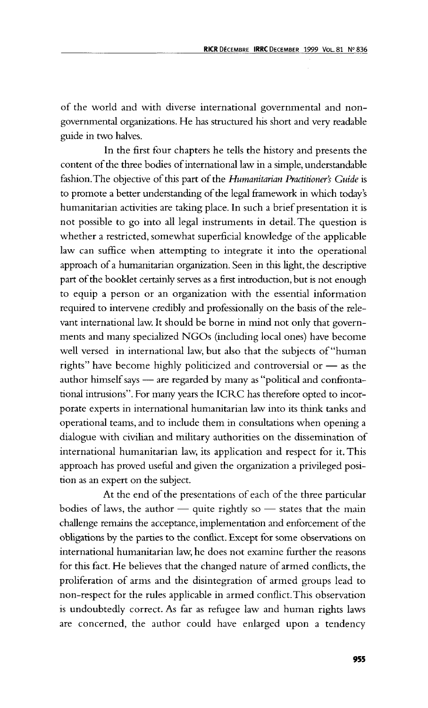of the world and with diverse international governmental and nongovernmental organizations. He has structured his short and very readable guide in two halves.

In the first four chapters he tells the history and presents the content of the three bodies of international law in a simple, understandable fashion.The objective of this part of the *Humanitarian Practitioner's Guide* is to promote a better understanding of the legal framework in which today's humanitarian activities are taking place. In such a brief presentation it is not possible to go into all legal instruments in detail. The question is whether a restricted, somewhat superficial knowledge of the applicable law can suffice when attempting to integrate it into the operational approach of a humanitarian organization. Seen in this light, the descriptive part of the booklet certainly serves as a first introduction, but is not enough to equip a person or an organization with the essential information required to intervene credibly and professionally on the basis of the relevant international law. It should be borne in mind not only that governments and many specialized NGOs (including local ones) have become well versed in international law, but also that the subjects of "human rights" have become highly politicized and controversial or — as the author himself says — are regarded by many as "political and confrontational intrusions". For many years the ICRC has therefore opted to incorporate experts in international humanitarian law into its think tanks and operational teams, and to include them in consultations when opening a dialogue with civilian and military authorities on the dissemination of international humanitarian law, its application and respect for it. This approach has proved useful and given the organization a privileged position as an expert on the subject.

At the end of the presentations of each of the three particular bodies of laws, the author  $-$  quite rightly so  $-$  states that the main challenge remains the acceptance, implementation and enforcement of the obligations by the parties to the conflict. Except for some observations on international humanitarian law, he does not examine further the reasons for this fact. He believes that the changed nature of armed conflicts, the proliferation of arms and the disintegration of armed groups lead to non-respect for the rules applicable in armed conflict. This observation is undoubtedly correct. As far as refugee law and human rights laws are concerned, the author could have enlarged upon a tendency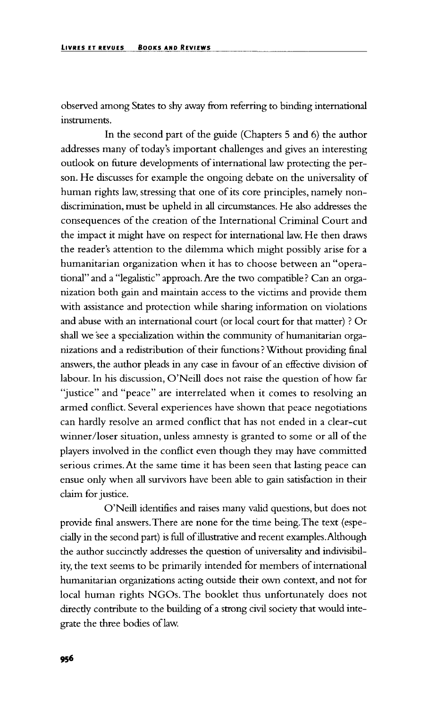observed among States to shy away from referring to binding international instruments.

In the second part of the guide (Chapters 5 and 6) the author addresses many of today's important challenges and gives an interesting outlook on future developments of international law protecting the person. He discusses for example the ongoing debate on the universality of human rights law, stressing that one of its core principles, namely nondiscrimination, must be upheld in all circumstances. He also addresses the consequences of the creation of the International Criminal Court and the impact it might have on respect for international law. He then draws the reader's attention to the dilemma which might possibly arise for a humanitarian organization when it has to choose between an "operational" and a "legalistic" approach. Are the two compatible? Can an organization both gain and maintain access to the victims and provide them with assistance and protection while sharing information on violations and abuse with an international court (or local court for that matter) ? Or shall we see a specialization within the community of humanitarian organizations and a redistribution of their functions ? Without providing final answers, the author pleads in any case in favour of an effective division of labour. In his discussion, O'Neill does not raise the question of how far "justice" and "peace" are interrelated when it comes to resolving an armed conflict. Several experiences have shown that peace negotiations can hardly resolve an armed conflict that has not ended in a clear-cut winner/loser situation, unless amnesty is granted to some or all of the players involved in the conflict even though they may have committed serious crimes. At the same time it has been seen that lasting peace can ensue only when all survivors have been able to gain satisfaction in their claim for justice.

O'Neill identifies and raises many valid questions, but does not provide final answers.There are none for the time being.The text (especially in the second part) is full of illustrative and recent examples. Although the author succincdy addresses the question of universality and indivisibility, the text seems to be primarily intended for members of international humanitarian organizations acting outside their own context, and not for local human rights NGOs. The booklet thus unfortunately does not direcdy contribute to the building of a strong civil society that would integrate the three bodies of law.